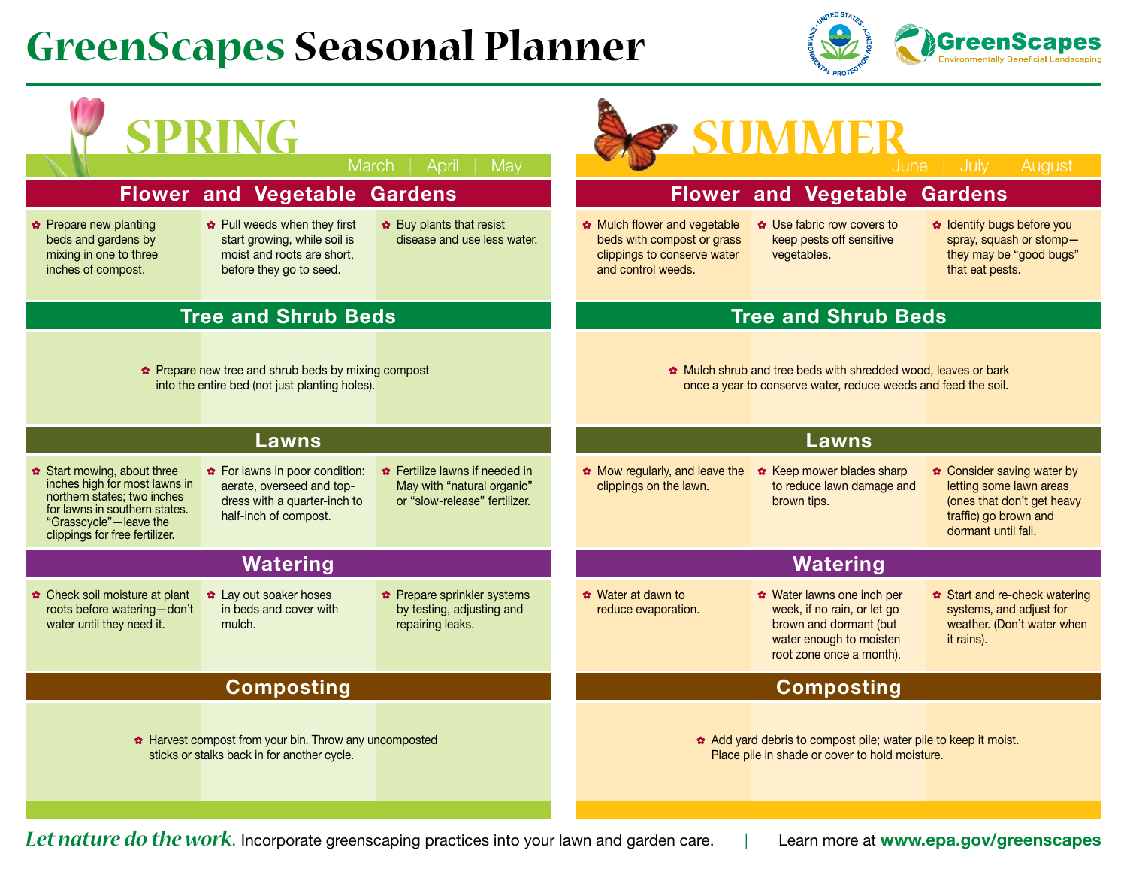## **GreenScapes Seasonal Planner**



| SPRING<br>SUMMER                                                                                                                                                                                |                                                                                                                       |                                                                                               |                                                                                                                                |                                                                                                                                            |                                                                                                                                     |  |
|-------------------------------------------------------------------------------------------------------------------------------------------------------------------------------------------------|-----------------------------------------------------------------------------------------------------------------------|-----------------------------------------------------------------------------------------------|--------------------------------------------------------------------------------------------------------------------------------|--------------------------------------------------------------------------------------------------------------------------------------------|-------------------------------------------------------------------------------------------------------------------------------------|--|
|                                                                                                                                                                                                 | March                                                                                                                 | April<br>$ $ May                                                                              |                                                                                                                                | June                                                                                                                                       | July<br>August                                                                                                                      |  |
| <b>Flower and Vegetable Gardens</b>                                                                                                                                                             |                                                                                                                       |                                                                                               | <b>Flower and Vegetable Gardens</b>                                                                                            |                                                                                                                                            |                                                                                                                                     |  |
| <b>☆</b> Prepare new planting<br>beds and gardens by<br>mixing in one to three<br>inches of compost.                                                                                            | * Pull weeds when they first<br>start growing, while soil is<br>moist and roots are short,<br>before they go to seed. | ❖ Buy plants that resist<br>disease and use less water.                                       | Mulch flower and vegetable<br>beds with compost or grass<br>clippings to conserve water<br>and control weeds.                  | ✿ Use fabric row covers to<br>keep pests off sensitive<br>vegetables.                                                                      | * Identify bugs before you<br>spray, squash or stomp-<br>they may be "good bugs"<br>that eat pests.                                 |  |
| <b>Tree and Shrub Beds</b>                                                                                                                                                                      |                                                                                                                       |                                                                                               | <b>Tree and Shrub Beds</b>                                                                                                     |                                                                                                                                            |                                                                                                                                     |  |
| Prepare new tree and shrub beds by mixing compost<br>into the entire bed (not just planting holes).                                                                                             |                                                                                                                       |                                                                                               | Mulch shrub and tree beds with shredded wood, leaves or bark<br>once a year to conserve water, reduce weeds and feed the soil. |                                                                                                                                            |                                                                                                                                     |  |
| Lawns                                                                                                                                                                                           |                                                                                                                       |                                                                                               | Lawns                                                                                                                          |                                                                                                                                            |                                                                                                                                     |  |
| <b>☆</b> Start mowing, about three<br>inches high for most lawns in<br>northern states; two inches<br>for lawns in southern states.<br>"Grasscycle"-leave the<br>clippings for free fertilizer. | ❖ For lawns in poor condition:<br>aerate, overseed and top-<br>dress with a quarter-inch to<br>half-inch of compost.  | ✿ Fertilize lawns if needed in<br>May with "natural organic"<br>or "slow-release" fertilizer. | Mow regularly, and leave the<br>clippings on the lawn.                                                                         | * Keep mower blades sharp<br>to reduce lawn damage and<br>brown tips.                                                                      | ❖ Consider saving water by<br>letting some lawn areas<br>(ones that don't get heavy<br>traffic) go brown and<br>dormant until fall. |  |
| <b>Watering</b>                                                                                                                                                                                 |                                                                                                                       |                                                                                               | <b>Watering</b>                                                                                                                |                                                                                                                                            |                                                                                                                                     |  |
| ☆ Check soil moisture at plant<br>roots before watering-don't<br>water until they need it.                                                                                                      | * Lay out soaker hoses<br>in beds and cover with<br>mulch.                                                            | Prepare sprinkler systems<br>by testing, adjusting and<br>repairing leaks.                    | ☆ Water at dawn to<br>reduce evaporation.                                                                                      | ☆ Water lawns one inch per<br>week, if no rain, or let go<br>brown and dormant (but<br>water enough to moisten<br>root zone once a month). | <b>☆</b> Start and re-check watering<br>systems, and adjust for<br>weather. (Don't water when<br>it rains).                         |  |
|                                                                                                                                                                                                 | <b>Composting</b>                                                                                                     |                                                                                               | <b>Composting</b>                                                                                                              |                                                                                                                                            |                                                                                                                                     |  |
|                                                                                                                                                                                                 | * Harvest compost from your bin. Throw any uncomposted<br>sticks or stalks back in for another cycle.                 |                                                                                               |                                                                                                                                | Add yard debris to compost pile; water pile to keep it moist.<br>Place pile in shade or cover to hold moisture.                            |                                                                                                                                     |  |

*Let nature do the work.* Incorporate greenscaping practices into your lawn and garden care. | Learn more at **www.epa.gov/greenscapes**